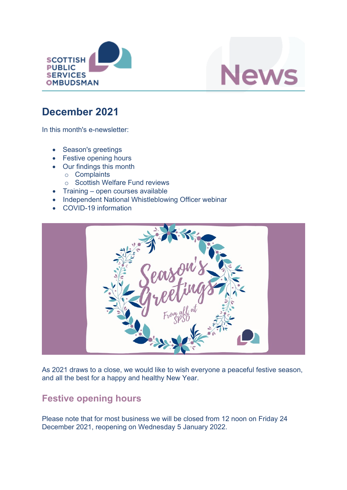



# **December 2021**

In this month's e-newsletter:

- Season's greetings
- Festive opening hours
- Our findings this month
	- o Complaints
	- o Scottish Welfare Fund reviews
- Training open courses available
- Independent National Whistleblowing Officer webinar
- COVID-19 information



As 2021 draws to a close, we would like to wish everyone a peaceful festive season, and all the best for a happy and healthy New Year.

## **Festive opening hours**

Please note that for most business we will be closed from 12 noon on Friday 24 December 2021, reopening on Wednesday 5 January 2022.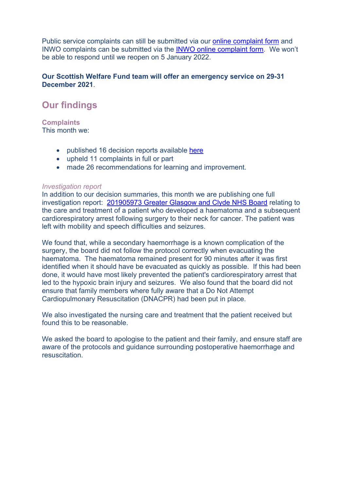Public service complaints can still be submitted via our [online complaint form](https://www.spso.org.uk/complain/form/start/) and INWO complaints can be submitted via the [INWO online complaint form.](https://inwo.spso.org.uk/complaining-independent-national-whistleblowing-officer-inwo) We won't be able to respond until we reopen on 5 January 2022.

#### **Our Scottish Welfare Fund team will offer an emergency service on 29-31 December 2021**.

## **Our findings**

**Complaints** This month we:

- published 16 decision reports available [here](https://www.spso.org.uk/our-findings)
- upheld 11 complaints in full or part
- made 26 recommendations for learning and improvement.

#### *Investigation report*

In addition to our decision summaries, this month we are publishing one full investigation report: [201905973 Greater Glasgow and Clyde NHS Board](https://www.spso.org.uk/investigation-reports/2021/december/greater-glasgow-and-clyde-nhs-board-acute-services-division) relating to the care and treatment of a patient who developed a haematoma and a subsequent cardiorespiratory arrest following surgery to their neck for cancer. The patient was left with mobility and speech difficulties and seizures.

We found that, while a secondary haemorrhage is a known complication of the surgery, the board did not follow the protocol correctly when evacuating the haematoma. The haematoma remained present for 90 minutes after it was first identified when it should have be evacuated as quickly as possible. If this had been done, it would have most likely prevented the patient's cardiorespiratory arrest that led to the hypoxic brain injury and seizures. We also found that the board did not ensure that family members where fully aware that a Do Not Attempt Cardiopulmonary Resuscitation (DNACPR) had been put in place.

We also investigated the nursing care and treatment that the patient received but found this to be reasonable.

We asked the board to apologise to the patient and their family, and ensure staff are aware of the protocols and guidance surrounding postoperative haemorrhage and resuscitation.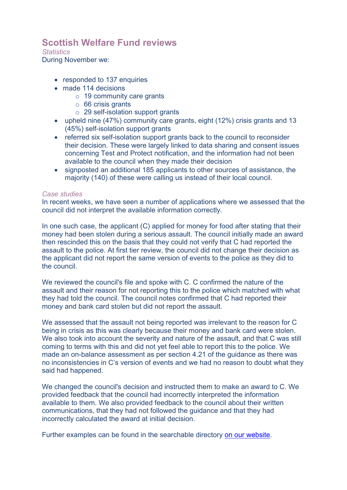### **Scottish Welfare Fund reviews**

#### *Statistics*

During November we:

- responded to 137 enquiries
- made 114 decisions
	- $\circ$  19 community care grants
	- $\circ$  66 crisis grants
	- o 29 self-isolation support grants
- upheld nine (47%) community care grants, eight (12%) crisis grants and 13 (45%) self-isolation support grants
- referred six self-isolation support grants back to the council to reconsider their decision. These were largely linked to data sharing and consent issues concerning Test and Protect notification, and the information had not been available to the council when they made their decision
- signposted an additional 185 applicants to other sources of assistance, the majority (140) of these were calling us instead of their local council.

#### *Case studies*

In recent weeks, we have seen a number of applications where we assessed that the council did not interpret the available information correctly.

In one such case, the applicant (C) applied for money for food after stating that their money had been stolen during a serious assault. The council initially made an award then rescinded this on the basis that they could not verify that C had reported the assault to the police. At first tier review, the council did not change their decision as the applicant did not report the same version of events to the police as they did to the council.

We reviewed the council's file and spoke with C. C confirmed the nature of the assault and their reason for not reporting this to the police which matched with what they had told the council. The council notes confirmed that C had reported their money and bank card stolen but did not report the assault.

We assessed that the assault not being reported was irrelevant to the reason for C being in crisis as this was clearly because their money and bank card were stolen. We also took into account the severity and nature of the assault, and that C was still coming to terms with this and did not yet feel able to report this to the police. We made an on-balance assessment as per section 4.21 of the guidance as there was no inconsistencies in C's version of events and we had no reason to doubt what they said had happened.

We changed the council's decision and instructed them to make an award to C. We provided feedback that the council had incorrectly interpreted the information available to them. We also provided feedback to the council about their written communications, that they had not followed the guidance and that they had incorrectly calculated the award at initial decision.

Further examples can be found in the searchable directory [on our website.](https://www.spso.org.uk/scottishwelfarefund/case-summaries)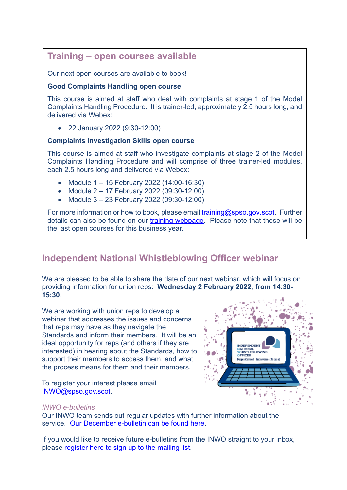### **Training – open courses available**

Our next open courses are available to book!

#### **Good Complaints Handling open course**

This course is aimed at staff who deal with complaints at stage 1 of the Model Complaints Handling Procedure. It is trainer-led, approximately 2.5 hours long, and delivered via Webex:

• 22 January 2022 (9:30-12:00)

### **Complaints Investigation Skills open course**

This course is aimed at staff who investigate complaints at stage 2 of the Model Complaints Handling Procedure and will comprise of three trainer-led modules, each 2.5 hours long and delivered via Webex:

- Module 1 15 February 2022 (14:00-16:30)
- Module 2 17 February 2022 (09:30-12:00)
- Module 3 23 February 2022 (09:30-12:00)

For more information or how to book, please email [training@spso.gov.scot.](mailto:training@spso.gov.scot) Further details can also be found on our [training webpage.](https://www.spso.org.uk/training-courses) Please note that these will be the last open courses for this business year.

## **Independent National Whistleblowing Officer webinar**

We are pleased to be able to share the date of our next webinar, which will focus on providing information for union reps: **Wednesday 2 February 2022, from 14:30- 15:30**.

We are working with union reps to develop a webinar that addresses the issues and concerns that reps may have as they navigate the Standards and inform their members. It will be an ideal opportunity for reps (and others if they are interested) in hearing about the Standards, how to support their members to access them, and what the process means for them and their members.

To register your interest please email [INWO@spso.gov.scot.](mailto:INWO@spso.gov.scot)



#### *INWO e-bulletins*

Our INWO team sends out regular updates with further information about the service. [Our December e-bulletin can be found here.](https://mailchi.mp/spso.org.uk/bulletin-from-the-inwo-dec2021-5043909)

If you would like to receive future e-bulletins from the INWO straight to your inbox, please [register here to sign up to the mailing list.](https://spso.us6.list-manage.com/subscribe?u=41e2e1d946df995fb6cae48d9&id=dfd2ad993d)